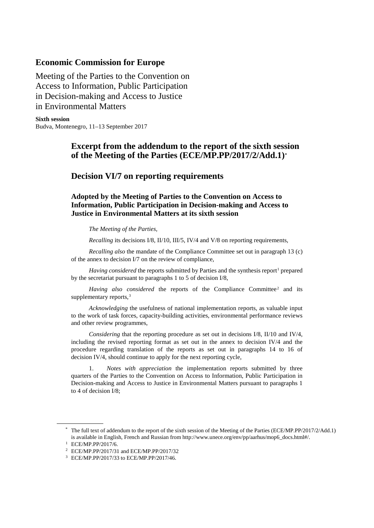### **Economic Commission for Europe**

Meeting of the Parties to the Convention on Access to Information, Public Participation in Decision-making and Access to Justice in Environmental Matters

**Sixth session** Budva, Montenegro, 11–13 September 2017

# **Excerpt from the addendum to the report of the sixth session of the Meeting of the Parties (ECE/MP.PP/2017/2/Add.1)[\\*](#page-0-0)**

## **Decision VI/7 on reporting requirements**

**Adopted by the Meeting of Parties to the Convention on Access to Information, Public Participation in Decision-making and Access to Justice in Environmental Matters at its sixth session**

*The Meeting of the Parties,* 

*Recalling* its decisions I/8, II/10, III/5, IV/4 and V/8 on reporting requirements,

*Recalling also* the mandate of the Compliance Committee set out in paragraph 13 (c) of the annex to decision I/7 on the review of compliance,

*Having considered* the reports submitted by Parties and the synthesis report<sup>[1](#page-0-1)</sup> prepared by the secretariat pursuant to paragraphs 1 to 5 of decision I/8,

Having also considered the reports of the Compliance Committee<sup>[2](#page-0-2)</sup> and its supplementary reports,<sup>[3](#page-0-3)</sup>

*Acknowledging* the usefulness of national implementation reports, as valuable input to the work of task forces, capacity-building activities, environmental performance reviews and other review programmes,

*Considering* that the reporting procedure as set out in decisions I/8, II/10 and IV/4, including the revised reporting format as set out in the annex to decision IV/4 and the procedure regarding translation of the reports as set out in paragraphs 14 to 16 of decision IV/4, should continue to apply for the next reporting cycle,

1. *Notes with appreciation* the implementation reports submitted by three quarters of the Parties to the Convention on Access to Information, Public Participation in Decision-making and Access to Justice in Environmental Matters pursuant to paragraphs 1 to 4 of decision I/8;

<span id="page-0-0"></span><sup>\*</sup> The full text of addendum to the report of the sixth session of the Meeting of the Parties (ECE/MP.PP/2017/2/Add.1) is available in English, French and Russian from http://www.unece.org/env/pp/aarhus/mop6\_docs.html#/.

<span id="page-0-1"></span><sup>1</sup> ECE/MP.PP/2017/6.

<span id="page-0-2"></span><sup>2</sup> ECE/MP.PP/2017/31 and ECE/MP.PP/2017/32

<span id="page-0-3"></span><sup>3</sup> ECE/MP.PP/2017/33 to ECE/MP.PP/2017/46.